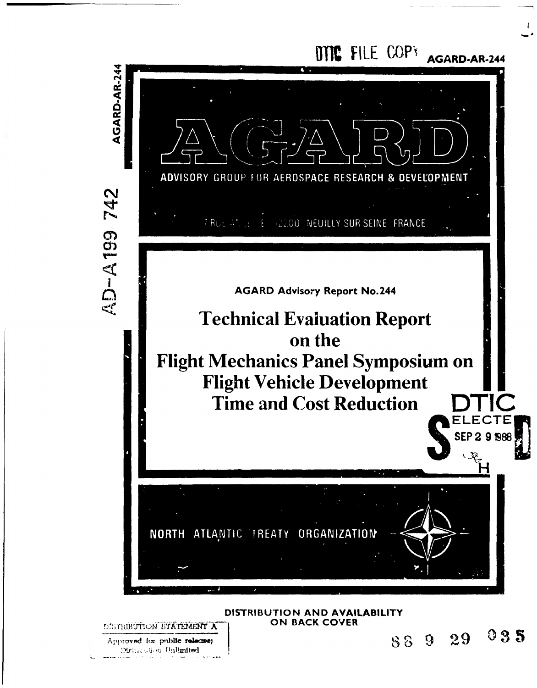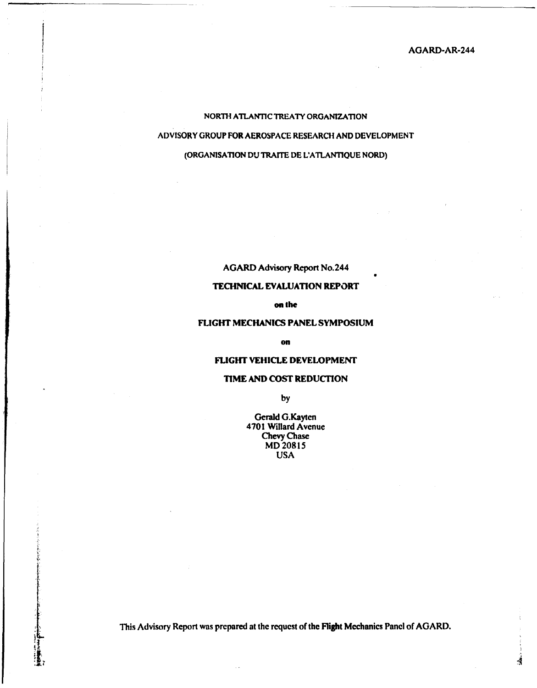Å

# NORTH ATLANTIC TREATY **ORGANIZATION** ADVISORY GROUP FOR **AEROSPACE** RESEARCH **AND DEVELOPMENT (ORGANISATION DU** TRAITE **DE LATLANTIOUE** NORD)

AGARD Advisory Report No.244

# **TECHNICAL EVALUATION** REPORT

on the

## **FLIGHT MECHANICS PANEL SYMPOSIUM**

on

# FLIGHT **VEHICLE DEVELOPMENT**

# **TIME AND COST REDUCTION**

**by**

Gerald G.Kaytcn 4701 Willard Avenue Chevy Chase MD **20815 USA**

This Advisory Report was prepared at the request of the Flight Mechanics Panel of AGARD.

i!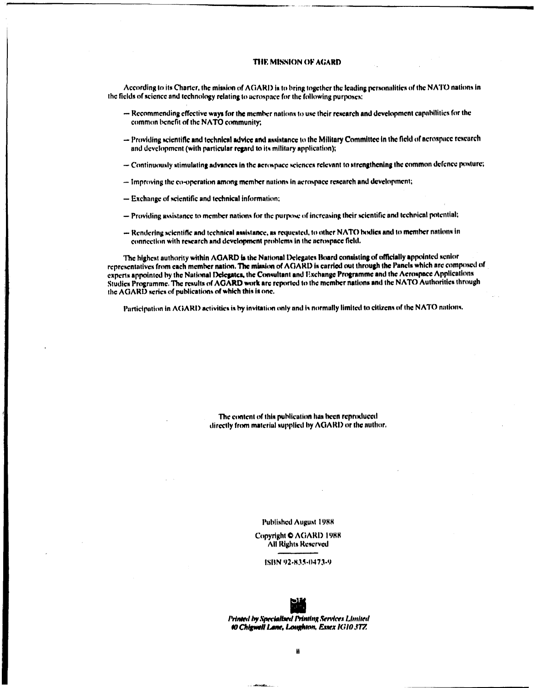### THE **MlSION OF** AGARD

According to its Charter, the mission of AGARI) is to bring together the leading personalities of the **NATO** nations in the fields of science and technology relating to aerospace for the following purposes:

- **-** Recommending effective ways for the member nations **to** use **thcir** research and development capabilities for the common **bencfit** of the **NATO** community;
- **-** Providing scientific **and** technical advice **and** assistance **to** the Military Committee in the field of aerospace research and development (with particular regard to its military application);
- Continuously stimulating advances in the aerospace sciences relevant to strengthening the common defence posture;
- **-** Improving the co-operation among member nalions in acro pace research and development;
- **-** Exchange of scientific and technical information;
- **-** Providing asistance to member nations for the purpose of increasing their scientific and technical potential;
- **-** Rcndering scientific and technical assitance. **as** requested, to other **NATO** bodies and **to** member nations in connection with research and development problems in the aerospace field.

**The** highest authority within ACARD **i the** National **lelegates** Hoard consisting of officially appointed senior rcpresentativc from each member nation. **The** mission of **AGARD in** carried out through the Panels which are composed of experts appointed **by** the National **l)elelptcs.** the Consultant and **Exchange** Programme **and** the Aerospace Applications Studies Programme. The results of AGARD work **are** reported to the member **natimns** and the **NATO** Authorities through the AGARD series of publications of which this is one.

Participation in AGARD activities is by invitation only and is normally limited to citizens of the NATO nations.

The content of this publication has been reproduced directly from material supplied **by** AGARI) or the author,

Published August **1988**

Copyright **0** AGARI) **1981 All** Rights Reserved

**ISIIN** 92-835-0473-4)



*Printed by Specialised Printing Services Limited \$0* **Chigwf** *Laume Laeoakfm,* **&vx 14;10 377**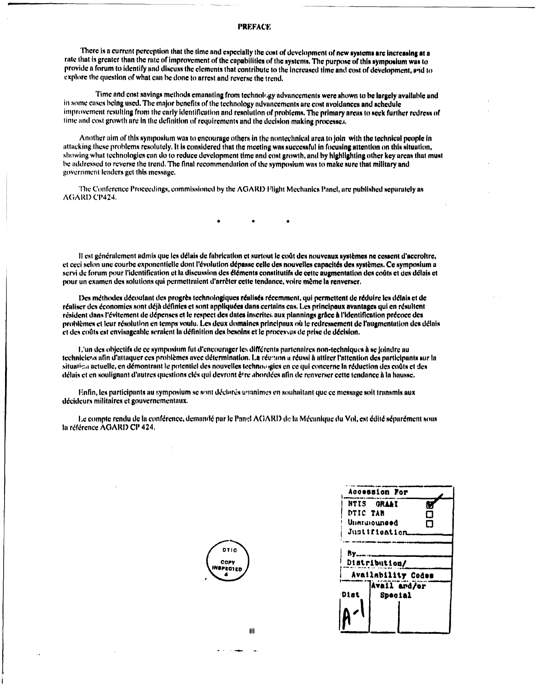## **PREFACE**

There is a current perception that the time and especially the cost of development of new systems are increasing at a rate that is greater than the rate of improvement of the capabilities of the systems. The purpose of this symposium was to provide a forum to identify and discuss the elements that contribute to the increased time and cost of development, and to explore the question of what can be done to arrest and reverse the trend.

Time and cost savings methods emanating from technology advancements were shown to be largely available and in some cases being used. The major benefits of the technology advancements are cost avoidances and schedule improvement resulting from the early identification and resolution of problems. The primary areas to seek further redress of time and cost growth are in the definition of requirements and the decision making processes.

Another aim of this symposium was to encourage others in the nontechnical area to join with the technical people in attacking these problems resolutely. It is considered that the meeting was successful in focusing attention on this situation, showing what technologies can do to reduce development time and cost growth, and by highlighting other key areas that must be addressed to reverse the trend. The final recommendation of the symposium was to make sure that military and government leaders get this message.

The Conference Proceedings, commissioned by the AGARD Flight Mechanics Panel, are published separately as **AGARD CP424.** 

Il est généralement admis que les délais de fabrication et surtout le coût des nouveaux systèmes ne cessent d'accroître. et ceci selon une courbe exponentielle dont l'évolution dépasse celle des nouvelles capacités des systèmes. Ce symposium a servi de forum pour l'identification et la discussion des éléments constitutifs de cette augmentation des coûts et des délais et pour un examen des solutions qui permettraient d'arrêter cette tendance, voire même la renverser.

Des méthodes découlant des progrès technologiques réalisés récemment, qui permettent de réduire les délais et de réaliser des économies sont déjà définies et sont appliquées dans certains cas. Les principaux avantages qui en résultent résident dans l'évitement de dépenses et le respect des dates inscrites aux plannings grâce à l'identification précoce des problèmes et leur résolution en temps voulu. Les deux domaines principaux où le redressement de l'augmentation des délais et des coûts est envisageable scraient la définition des besoins et le processus de prise de décision.

L'un des objectifs de ce symposium fut d'encourager les différents partenaires non-techniques à se joindre au techniciers afin d'attaquer ces problèmes avec détermination. La réunion a réussi à attirer l'attention des participants sur la situation actuelle, en démontrant le potentiel des nouvelles technomagies en ce qui concerne la réduction des coûts et des délais et en soulignant d'autres questions clés qui devront être abordées afin de renverser cette tendance à la hausse.

Enfin, les participants au symposium se sont déclarés upanimes en souhaitant que ce message soit transmis aux décideurs militaires et gouvernementaux.

Le compte rendu de la conférence, demandé par le Panel AGARD de la Mécanique du Vol, est édité séparément sous la référence AGARD CP 424.

| Accession For |                                                                |
|---------------|----------------------------------------------------------------|
| NTIS GRAAI    | U                                                              |
| DTIC TAB      | □                                                              |
| Unarurouneed  | ٦                                                              |
| Justification |                                                                |
|               |                                                                |
|               |                                                                |
|               |                                                                |
|               |                                                                |
|               |                                                                |
|               |                                                                |
|               | Distribution/<br>Availability Codes<br>Avail and/or<br>Special |

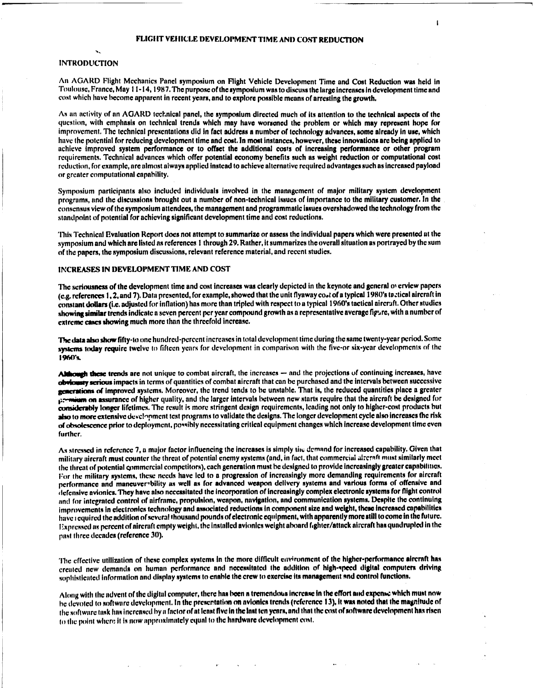## **FLIGIITVEI[lCI.E DEVELOPMENTTIME AND COST REDUCTION**

 $\mathbf{I}$ 

## **INTRODUCTION**

An AGARD Flight Mechanics Panel symposium on Flight Vehicle Development Time and Cost Reduction was held in Toulouse, France, **May I 1-14, 1987.** The purpose of the symposium was to discuss the large increases in development time and cost which have become apparent in **recent** years, and to explore **possible** means of arresting the growth.

As an activity of an **AGARD** teclhnical panel, the symposium directed much of its attention to the technical aspects **of the** question, with emphasis on technical trends which may have worsened the problem or which may represent hope for improvement. The technical presentations **did** in fact address a number of technology advances, some already in use, which have the potential for reducing development time and cost. In most instances, however, these innovations are being applied to achieve improved system performance or to offset the additional costs of increasing performance or other program requirements. Technical advances which offer potential economy benefits such as weight reduction or computational cost reduction. **for** example, are almost always applied instead to achieve alternative required advantages such as increased payload or greater computational capability.

Symposium participants also included individuals involved in the management of major military system development programs, and the discussions brought out a number of non-technical issues of importance to the military customer. In the consensus view of the symposium attendees, the management and programmatic issues overshadowed the technology from the standpoint of potential for achieving significant development time and cost reductions.

**This** Technical Evaluation Report does not attempt to summarize or assess the Individual papers which were presented at the symposium and which are listed as references **I** through **29.** Rather, it summarizes the overall situation **as** portrayed **by** the sum of the papers, the symposium discussions, relevant reference material, and recent studies.

## **INCREASES IN DEVELOPMENT** TIME **AND COST**

The seriousness of the development time and cost increases was clearly depicted in the keynote and general overview papers (e.g. referencs **1. 2.** and **7).** Data presented, for example, showed that the unit flyaway **cot** ofa typical **1980's** ta.tical aircraft in comtant dollars (i.e. adjusted for inflation) has more than tripled with respect to **a** typical **1960's** tactical aircraft. Other studies showing similar trends indicate a seven percent per year compound growth as a representative average figure, with a number of **extreme cases** showing much more than the threefold increase.

The data also show **fifty-to** one hundred-percent increases in total development time during the same twenty-year period. Some **syscems** today require twelve to fifteen years for development in comparison with the five-or six-year developments of the 1960's.

Although these trends are not unique to combat aircraft, the increases – and the projections of continuing increases, have **obviy** serious impacts in terms of quantities of combat aircraft that can **be** purchased and the intervals between successive **penerations of improved systems.** Moreover, the trend tends to be unstable. That is, the reduced quantities place a greater **p.-.** oti on assurance **of** higher quality, and the larger intervals between new starts require that the aircraft **be** designed for **comiderably** longer lifetimes. The result **i,** more stringent design requirements, leading not only to higher-cost products but **also** to more extensive dcvclnpment test programs to validate the designs. The longer development cycle **also** increases **(he** risk of obsolescence prior to deployment, **poitibly** necessitating critical equipment changes which Increase development time even further.

As stressed in reference 7, a major factor influencing the increases is simply time demand for increased capability. Given that military aircraft must counter the threat of potential enemy systems (and, in fact, that commercial **afrcr** ft must similarly meet the threat of potential commercial competitors), each generation must be designed to provide increasingly greater capabilities. For the military systems, these needs have led to **a** progression of increasingly more demanding requirements for aircraft performance and maneuver-bility **as** well as for advanced weapon delivery systems and various forms of offensive and **defensive** avionics. They have also necessitated the Incorporation of increasingly complex electronic systems **for** flight control **and** for integrated control **of** airframe, propulsion, weapon, navigation, and communication systems. Despite the continuing improvements **in** electronics technology and associated reductions in component size and weight, these increased capabilities have i equired the addition of several thousand pounds of electronic equipment, with apparently more still to come in the future. lxpressed as percent of aircraft empty weight, the installed avionics weight aboard fighter/attack aircraft has quadrupled in the past three decades (reference **30).**

The effective utilization of these complex systems in the more difficult esvironment of the higher-perfomance aircraft has created new demands on human performance and necessitated the addition of high-speed digital computers driving sophisticated Information and **display** systems to enable the crew to exercise its management "nd control functions.

Along with the advent of the digital computer, there has been a tremendous Increase in the effort mid expenw which must now he devoted to software development. In the presentiton on avionics **trcnds** (reference **13).** it was noted that the magnitudc **of** the software task has increased by a factor of at least five in the last ten years, and that the cost of software development has risen **to** the poilnt where: it **is** now approximately equal to the hardware development cost.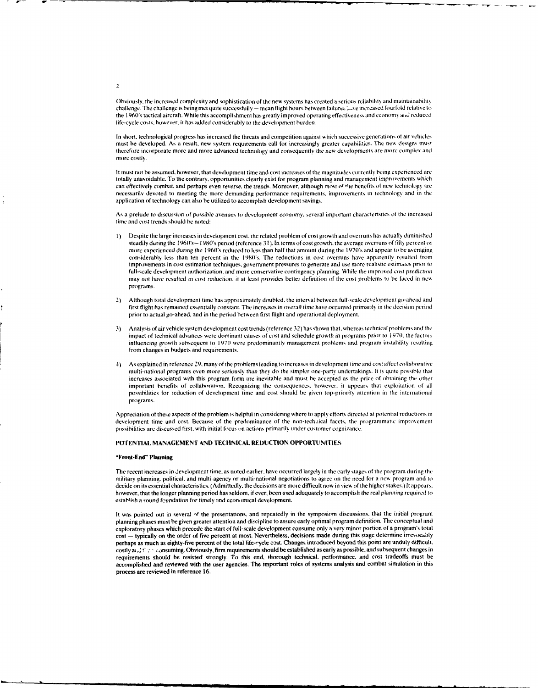Obviously, the increased complexity and sophistication of the new systems has created a serious reliabilit) and maintainabilits challenge. **The** challenge is being met quite successfully **-** mean flight hours between failurc, :,.,vc increased fourfold relative to the 1960's tactical aircraft. While this accomplishment has greatly improved operating effectiveness and economy and reduced life-cycle costs, however, it has added considerably to the development burden.

In short, technological progress has increased the threats and competition against which successive generations of air veticles must be developed. As a result, new system requirements call for increasingly greater capabilities. The new designs must therefore incorporate more and more advanced technology and consequently the new dcvelopments are more complex and more costly.

It must not be assumed, however, that development time and cost increases of the magnitudes currently being experienced are totally unavoidable. To the contrary, opportunities clearly exist for program planning and management improvements which can effectively combat, and perhaps even reverse, the trends. Moreover. although most **of** ' t ie benefits of new technology ire necessarily devoted to meeting the more demanding performance requirements, improvements in technology and in the application of technology can also be utilized to accomplish development savings.

As a prelude to discussion of possible avenues to development economy, several important characteristics of the increased time and cost trends should be noted:

- **I)** Despite the large increases in development cost. the related problem of cost growth and overruns has actually diminished steadily during the 1 9 60}'s- 1980's period (reference 31). In terms of cost growth. the average overruns (of Iifty percent or more experienced during the 1960's reduced to less than half that amount during the 1970's and appear to be averaging considerably less than ten percent in the 1990's. The reductions in cost overruns have apparently resulted from improvements in cost estimation techniques, government pressures to generate and use more realistic estimates prior to full-scale development authorization, and more conservative contingency planning. While the improved cost prediction may not have resulted in cost reduction, it at least provides better definition of the cost problems to be faced in new programs.
- 2) Although total development time has approximately doubled, the interval between full-scale development go-ahead and first flight has remained essentially constant. The increases in overall time have occurred primarily in the decision period prior to actual go-ahead. and in the period between first flight and operational deployment.
- 3) Analysis of air vehicle system development cost trends (reference **32)** has shown that. whereas technical problems and **the** impact of technical advances were dominant causes of cost and schedule growth in programs prior to 1970, the factors influencing growth subsequent **to** 1970 were predominantly management problems and program instahility resulting from changes in budgets and requirements.
- 4) As explained in reference 29. many of the problems leading to increases in development time and cost affect collaborative multi-national programs even more seriously than they do the simpler one-party undertakings. **It** is quite possible that increases associated with this program form are inevitable and must be accepted as the price of obtaining the other important benefits of collaboration. Recognizing the consequences. however, it appears that exploitation *of* all possibilities for reduction of development time and cost should be given top-priority attention in the international programs.

Appreciation of these aspects of the problem is helpful in considering where to apply efforts directed at potential reductions in development time and cost. Because of the predominance of the non-techoical facets, the programmatic improscment possibilities are discussed first, with initial focus on actions primarily under customer cognizance.

#### POTENTIIAL **MANAGEMENT AND TECHNICAL REDUCTION OPPORTUNITIES**

#### 'Front-End" Planning

The recent increases in development time. as noted earlier, have occurred largely in the early stages of the program during the military planning, political, and multi-agency or multi-national negotiations to agree on the need for a nes program and to decide on its essential characteristics. (Admittedly, the decisions are more difficult now in view of the higher stakes.) It appears. however, that the longer planning period has seldom, if ever, been used adequately to accomplish the real planning required to establish a sound foundation for timely and economical development.

It was pointed out in several **-f** the presentations. and repeatedly in the symposium discussions, that the initial program planning phases must be given greater attention and discipline to assure early optimal program definition. The conceptual and exploratory phases which precede the start of full-scale development consume only a very minor portion of a program's total cost - typically on the order of five percent at most. Nevertheless, decisions made during this stage determine irrevocably perhaps **as** much as eighty-five percent of the total life-eycle cost. Changes introduced beyond this point **are** unduly **difficult.** costly ai,.: t **--** -onsuming. Obviously, firm requirements should **be** established as early as possible, and subsequent changes in requirements should be resisted strongly. To this end, thorough technical, performance, and cost tradeoffs must **be** accomplished **and** reviewed with the user agencies. The important roles of systems analysis and combat simulation in this process **are** reviewed in reference **16.**

 $\rightarrow$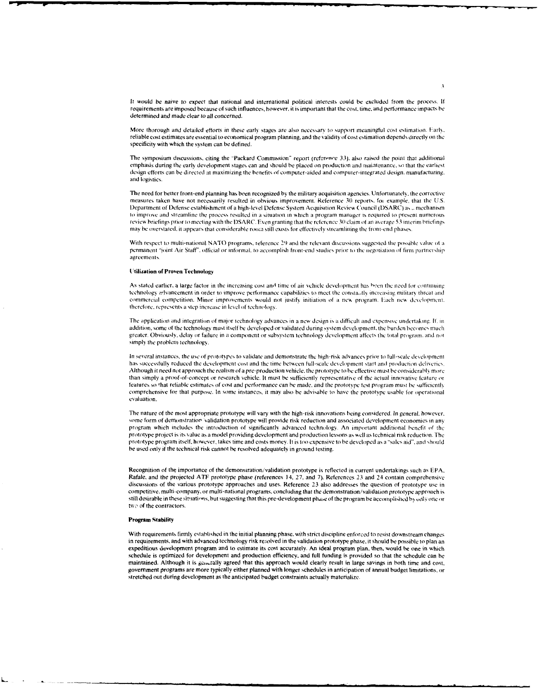It would be naive to expect that national and international political interests could be excluded from the process. If requirements are imposed because of such influences, however, it is important that the cost. time, and performance impacts be determined and made clear to all concerned.

More thorough and detailed efforts in these early stages are also necessary **to** support meaningful cost estimation. Earls. reliable cost estimates are essential to economical program planning, and the validity of cost estimation depends directly **on** the specificity with which the system can be defined.

The symposium discussions, citing the "Packard Commission" report (reference 33), also raised the point that additional emphasis during the early development stages can and should be placed on production and maiatenance, so that the earliest dcsign efforts can **be** directed at maximizing the benefits oif computer-aided and computer-integrated design, manufacturing. and logistics.

The need for better front-end planning has been recognized by the military acquisition agencies. Unfortunately, the corrective measures taken have not necessarily resulted in obvious improvement. Reference  $30$  reports, for example, that the U.S. Department of Defense establishment of a high-level Defense System Acquisition Rcview Council (DSARC) as.,. mechanism to improve and streamline the process resulted in a situation in which a program manager is required to present numerous<br>review briefings prior to meeting with the DSARC. Even granting that the reference 30 claim of an ave may be overstated. it appears that considerable rooma still exists for effectively streamlining the front-end phases.

With respect to multi-national NATO programs, reference **2)** and the relevant discussions suggested the possible saluc **of** a permanent "joint Air Staff", official or informal, to accomplish front-end studies prior to the negotiation of firm partnership agreements.

#### **Uitilization** of Proven Technology

As stated earlier, a large factor in the increasing cost and time of air vehicle development has been the need for continuing technology advancement in order to improve performance capabilities to meet the constantly increasing military threat and commercial competition. Minor improvements would **not** justify initiation **of** a ne"s program. Each ness de\clopment. therefore, represents a step increase in level of technology.

The application and integration of major technology advances in a new design is a difficult and expensive undertaking. If, in addition, some of the technology must itself be developed or validated during system development, the burden becomes much greater. Obviously. delay **ior** failure in a component or subsystem technology development affects the total program. and not simply the problem technology.

In several instances, the use of prototypes to validate and demonstrate the high-risk advances prior to full-scale development<br>has successfully reduced the development cost and the time between full-scale development start Although it need not approach the realism of a pre-production vehicle, the prototype to be effective must be considerably more than simply a prof-of-concept or research vehicle. It must be sufficiently representatise of the actual innovative fcature or features so 'hat reliable estimates **of** cost and performance can be made. aid the prototype test program must *be* sufficicnly comprehensive for that purpose. In some instances, it may also be advisable **to** have the prototype usable for operational evaluation.

The nature of the most appropriate prototype will vary with the high-risk innovations being considered. In general, however, some form of demonstration validation prototype will provide risk reduction and associated develo program which includcs the introduction of significantly advanced technology. An important additional benefit **of** the prototype project is its value as a model providing development and production lessons as well as technical risk reduction. The prototype program itself, however, takes time and costs money. **It** is too expensive to be developed as a "sales aid", and should be used only if the technical risk cannot be resolved adequately in ground testing.

Recognition of the importance of the demonstration/validation prototype is reflected in current undertakings such as EPA, Rafale, and the projected **ATE** prototype phase (references 14, **27.** and 7). References 23 and 24 contain comprehensive discussions of the various prototype approaches and uses. Reference 23 also addresses the question of prototype use in competitive, multi-company, **or** multi-national programs. concluding that the demonstration/validation prototype approach is still desirable in these situations, but suggesting that this pre-development phase of the program be accomplished by only one or twe of the contractors.

#### **Program** Stability

With requirements firmly established in the initial planning phase, with strict discipline enforced to resist downstream changes in requirements, and with advanced technology risk resolved in the validation prototype phase, it should be possible **to** plan an expeditious development program and to estimate its cost accurately. An ideal program plan, then, would **be** one in which schedule is optimized for development and production efficiency, and full funding is provided so that the schedule can be maintained. Although it is generally agreed that this approach would clearly result in large savings in both time and cost. government programs are more typically either planned with longer schedules in anticipation of annual budget limitations, otr stretched out during development as the anticipated budget constraints actually materialize.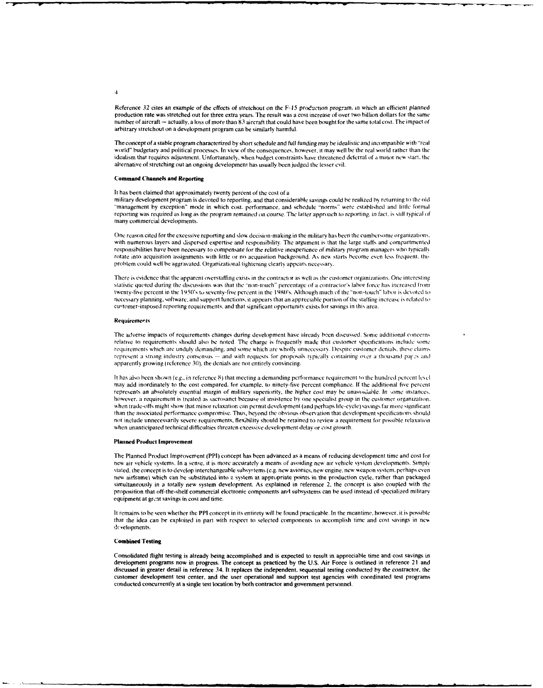Reference 32 cites an example of the effects of stretchout on the F-15 production program, in which *an efficient* planned production rate was stretched out for three extra years. The result was a cost increase of over two billion dollars for the same number of aircraft - actually, a loss of more than 83 aircraft that could have been bought for the same total cost. The impact of arbitrary stretchout on a development program can be similarly harmful.

The concept of a stable program characterized by short schedule and full funding may be idealistic and incompatible with "real world" budgetary and political processes. In view of the consequences. however, it may well be the real world rather than tie idealism that requires adjustment. Unfortunately, when budget constraints have threatened deferral of a maior nesw start, the alternative of stretching out an ongoing development has usually been judged the lesser evil.

#### **Command Channels and Reporting**

It has been claimed that approximately twenty percent of the cost of a<br>military development program is devoted to reporting, and that considerable savings could be realized by returning to the old "management by exception" mode in which cost. performance, and schedule "norms" were established and little formal reporting was required as long as the program remained on course. The latter approach to reporting. in fact. is still typical of many commercial developments.

One reason cited for the excessive reporting and slow decision-making in the military has been the cumbersome organizations. with numerous layers and dispersed expertise and responsibility. The argument is that the large staffs and compartmented responsibilities have been necessary to compensate for the relative inexperience of military program managers who typicall) rotate into acquisition assignments with little or no acquisition background. As new starts become even less frequent, the problem could well be aggravated. Organizational tightening clearly appears necessary.

There is evidence that the apparent overstaffing exists in the contractor as well as the customer organizations. One interesting statistic quoted during the discussions was that the "non-touch" percentage of a contractor's labor force has increased from<br>twenty-five percent in the 1950's to seventy-five percent in the 1980's. Although much of the "no necessary planning, software, and support functions, **it** appears that an appreciable portion of the staffing increase is related to customer-imposed reporting requirements. and that significant opportunity exists for savings in this area.

#### **Requiremerts**

The adverse impacts of requirements changes during development have already been discussed. Some additional concerns relative to requirements should also **be** noted. The charge is frequcntly made that customer specifications include some requirements which are unduly demanding, and some which are wholly unnecessary. Despite customer denials, these claims represent a strong industry consensus - and with requests for proposals typically containing over a thousand pages and apparently growing (reference 30), the denials are not entirely convincing.

It has also been shown (e.g.. in reference **8)** that meeting a demanding performance requirement lo the hundred percent lesel may add inordinately to the cost compared. for example, to ninety-five percent compliance. If the additional five percent represents an absolutely essential margin of military superiority, the higher cost may be unavoidable. In *,ome* instances. however, a requirement is treated as sacrosanct because of insistence by one specialist group in the customer organization, when trade-offs might show that minor relaxation can permit development (and perhaps life-cycle) savings far more significant than the associated performance compromise. Thus., beyond the obvious obseration that development specifications should not include unnecessarily severe requirements, flexibility should **be** retained to review a requirement for possible relaxation when unanticipated technical difficulties threaten excessive development delay or cost growth.

#### **Planned Product Improvement**

The Planned Product Improvement (PPI) concept has been advanced as a means of reducing development time and cost for new air vehicle systems. In a sense, it is more accurately a means of avoiding new air vehicle system developments. Simply stated, the concept is to develop interchangeable subsystems (e.g. new avionics, new engine, new weapon system, perhaps even new airframe) which can **be** substituted into a system at appropriate points in **the** production cycle, rather than packaged simultaneously in a totally new system development. As explained in reference 2. the concept is also coupled with the proposition that off-the-shelf commercial electronic components and subsystems can be used instead of specialized military equipment at great savings in cost and time.

It remains to be seen whether the PPI concept in its entirety will be found practicable. In the meantime, however, it is possible that the idea can be exploited in part with respect to selected components to accomplish time and cost savings in new dc velopments

#### **Combined Testing**

Consolidated **flight** testing **is** already being **accomplished and is** expected to **result in** appreciable time and cost savings in **development** programs **now** in progress. **The concept as** practiced **by the U.S. Air Force** is outlined in reference 21 and discussed in greater detail in reference 34. **It** replaces the independent, sequential testing conducted **by** the contractor, the customer development test center, and the user operational and support test agencies with coordinated test programs **conducted** concurrently at a single **test** location **by** both **contractor and** government ersrnnel.

4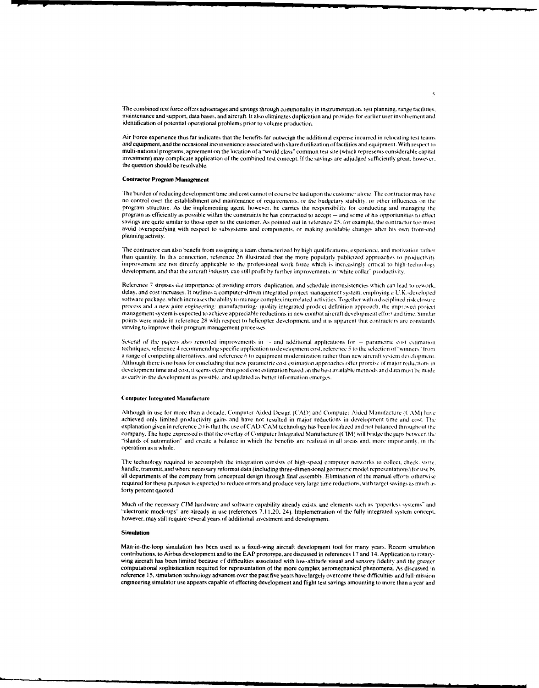The combined test force offers advantages and savings through commonality in instrumentation, test planning. range facilities, maintenance and support, data bases, and aircraft. It also eliminates duplication and provides for earlier user inolement and identification of potential operational problems prior to volume production.

Air Force experience thus far indicates that the benefits far outweigh the additional expense incurred in relocating test teams and equipment, and the occasional inconvenience associated with shared utilization of facilities and equipment. With respect to multi-national programs, agreement on the location of a "world class" common test site (which represenis considerable capital investment) may complicate application of the combined test concept. If the savings are adjudged sufficiently great, however. the question should be resolvable.

#### **Contractor Program Management**

The burden of reducing development time and cost cannot of course be laid upon the customer alone. The contractor may have no control over the establishment and maintenance of requirements, or the budgetary stability, or other influences on the program structure. As the implementing agent, however, he carries the responsibility for conducting and managing the program as efficiently as possible within the constraints he has contracted **to** accept - and some **of** his opportunities to effect savings are quite similar to those open to the customer. As pointed out in reference 25. for example, the contractor too must avoid overspecifying with respect to subsystems and components, or making avoidable changes after his own froni-end planning activity.

The contractor can also benefit from assigning a team characterized by high qualifications, experience, and motivation rather than quantity. In this connection, reference 26 illustrated that the more popularly publicized approaches to productivits improvement are not directly applicable to the professional work force which is increasingly critical to high-technolog\ development, and that the aircraft industry can still profit by further improvements in "white collar" productivity.

Reference 7 stresses the importance of avoiding errors duplication, and schedule inconsistencies which can lead to rework. delay, and cost increases. It outlines a computer-driven integrated project management system. employing a UK.-decveloped software package, which increases the ability to manage complex interrelated activities. Together with a disciplined risk closure process and a new joint engineering manufacturing quality integrated product definition approach, the improved project management system is expected to achieve appreciable reductions in new combat aircraft development effort and time. Similar points were made **it** reference 28 with respect to helicopter development, and **it** is apparent that contractors arc constanth striving to improve their program management processes.

Several of the papers also reported improvements in  $\sim$  and additional applications for - parametric cost estimation techniques, reference 4 recommending specific application to development cost, reference 5 to the selection of "winners" from<br>a range of competing alternatives, and reference 6 to equipment modernization rather than new ai Although there is no basis for concluding that new parametric cost estimation approaches offer promise **of** major reduei is **In** development time and cost, it seems clear that good cost estimation based on the best available methods and data must be made as early in the development as possible, and updated as better information emerges.

#### **Computer Integrated Manufacture**

Although in use for more than a decade. Computer Aided Design (CAD) and Computer Aided Manufacture (CAM) have achieved only limited productivity gains and have not resulted in major reductions in development time and cost. The explanation given in reference **20** is that the use of **CAD** 'CAM technology has been localized and not balanced throughout the company. The hope expressed is that the overlay of ('omputer Integrated Manufacture **(CIM)** will bridge the gaps between the "islands of automation" and create a balance in which the benefits are realized in all areas and, more importantly, in the operation as a whole.

The technology required to accomplish the integration consists of high-speed computer networks to collect, cheek. store. handle, transmit, and where necessary reformat data (including three-dimensional geometric model representations) for use by all departments of the company from conceptual design through final assembly. Elimination of the manual efforts otherwise required for these purposes is expected to reduce errors and produce very large time reductions, with target savings as much as forty percent quoted.

Much of the necessary CIM hardware and software capability already exists, and elements such as "paperless systems" and "electronic mock-ups" are already in use (references 7,11,20, 24). Implementation of the fully integrated system concept. however. may still require several years of additional investment and development.

#### **Simulation**

Man-in-the-loop simulation has been used as a fixed-wing aircraft development tool for many years. Recent simulation contributions, to Airbus development and to the EAP prototype, are discussed in references 17 and 14. Application to rotarywing aircraft has been limited because *cf* difficulties associated with low-altitude visual and sensory fidelity and the greater computational sophistication required for representation of the more complex aeromechanical phenomena. As discussed in reference 15. simulation technology advances over the past five years have largely overcome these difficulties and full-mission engineering simulator use appears capable of effecting development and flight test savings amounting to more than a year and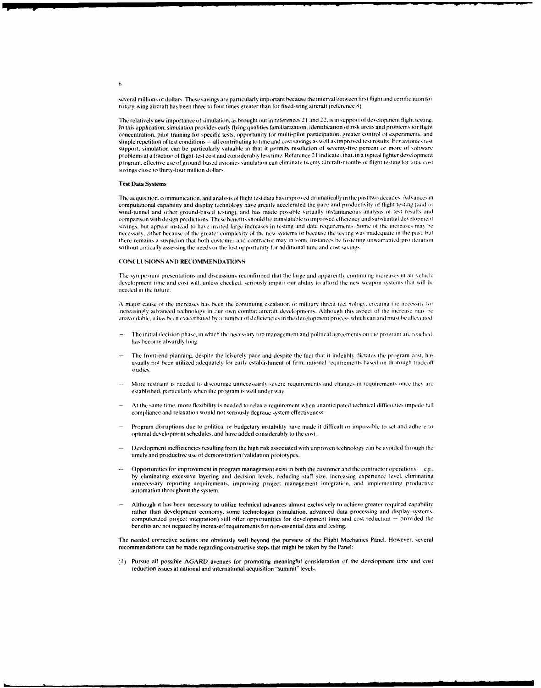several millions of dollars. These savings are particularly important because the interval between first flight and certification tor rotary-wing aircraft has been three to four times greater than for fixed-wing aircraft (reference **8).**

The relatively new importance of simulation, as brought out in references 21 and 22, is in support of development flight testing. In this application, simulation provides earl, flying qualities familiarization, identification of rsk areas and problems for flight concentration, pilot training for specific tests, opportunity for multi-pilot participation. greater control **of** experments. and simple repetition of test conditions **-** all contributing to time and cost savings as well as improved **test** results. **Fe,** avionics test support, simulation can **be** particularly valuable in that it permits resolution of seventy-five percent or more of software problems at a fraction of flight-test cost and considerably less time. Reference 21 indicates that, in a typical fighter development program, effective use of ground-based avionics simulation can eliminate twenty aircraft-months of flight testing for total cost savings close to thirty-four million dollars.

#### **Test Data Systems**

The acquisition, communication, and analysis of flight test data has improved dramatically in the past two decades. Advances in computational capability and display technology have greatlv accelerated the pace atid productivity of flight teting (and **,t** wind-tunnel and other ground-based testing), and has made possible virtually instantaneous anaysis of test results and comparison with design predictions. These benefits should be translatable to improved efficienc\ arid substantial **de\** clopmenl savings, but appear instead to have invited large increases in testing and data requirements. Some of the increases may be necessary, either because of the greater complexity of the new systems or because the testing was inadequate in the past, but there remains a suspicion that both customer and contractor may in some instances be fostering unwarranted proliferation without critically assessing the needs or the lost opportunity for additional time and cost savings.

#### (ON(LISIONS **AND RECOMMENDATIONS**

The symposium presentations and discussions reconfirmed that the large and apparently continuing increases in air vehicle development time and cost will, unless checked, seriously impair our ability to afford the new weapon systems that will be needed in the future.

A major cause of the increases has been the continuing escalation of military threat tecl nology, creating the necessity for increasingly advanced technology in our own combat aircraft developments. Although this aspect of the increase may be unavoidable, it has been exacerbated by a number of deficiencies in the development process which can and must be allevaated

- The initial decision phase, in which the necessary top nanagement and political agreements on tie program arc reached. has become absurdly long.
- The front-end planning, despite the leisurely pace and despite the fact that it indelibly dictates the program cost, has usually not been utilized adequately for early establishment of firm, rational requirements based on thorough tradeoft studies.
- More restraint is needed to discourage unnecessarily severe requirements and changes in requirements once they are established, particularly when the program is well under way.
- **-** At the same time. more flexibility is needed to relax a requirement w\hen unanticipated technical difficulties impede full compliance and relaxation would not seriously degraue system effectiveness
- **-** Program disruptions due to political or budgetary instability have made it difficult or impossible to **set** and adhere to optimal development schedules, and have added considerably to the cost.
- Development inefficiencies resulting from the high risk associated with unproven technology can be avoided through the timely and productive use of demonstration/validation prototypes.
- Opportunities for improvement in program management exist in both the customer and the contractor operations **- e.g. by** eliminating excessive layering and decision levels. reducing staff size. increasing experience level. eliminating unnecessary reporting requirements, improving project management integration. and implementing productivc automation throughout the system.
- Although **it** has been necessary to utilize technical advances almost exclusively to achieve greater required capability rather than development economy, some technologies (simulation. advanced data processing and display systems. computerized project integration) still offer opportunities for development time and cost reduction - provided the benefits are not negated by increased requirements for non-essential data and testing.

The needed corrective actions are obviously well beyond the purview of the Flight Mechanics Panel. However, several recommendations can be made regarding constructive steps that might be taken by the Panel:

**(I)** Pursue all possible AGARD avenues for promoting meaningful consideration of the development time and cost reduction issues at national and international acquisition "summit" levels,

**• I .i=.ma,,alaimlllmlm .=,==.i1i111l1I I II I**

**6**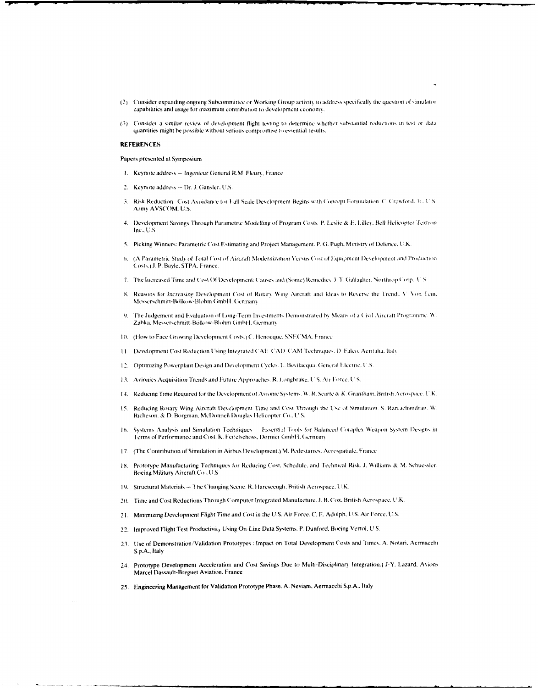- (2) Consider expanding ongoing Subcommittee or Working Group activity to address specifically the question of simulator capabilities and usage for maximum contribution to development economy
- (3) Consider a similar review of development flight testing to determine whether substantial reductions in test or data quantities might be possible without serious compromise to essential results.

#### **REFERENCES**

Papers presented at Symposium

- 1. Keynote address Ingenieur General R.M. Fleury, France
- 2. Keynote address Dr. J. Gansler, U.S.
- Risk Reduction: Cost Avoidance for Fall Scale Development Begins with Concept Formulation, C. Crawford, Jr., U.S. 3. Army AVSCOM, U.S.
- 4. Development Savings Through Parametric Modelling of Program Costs. P. Leslie & E. Lilley, Bell Helicopter Textron Inc., U.S.
- 5. Picking Winners: Parametric Cost Estimating and Project Management. P. G. Pugh, Ministry of Defence, U.K.
- 6. (A Parametric Study of Total Cost of Aircraft Modernization Versus Cost of Equipment Development and Production Costs.) J. P. Bayle, STPA, France
- 7. The Increased Time and Cost Of Development: Causes and (Some) Remedies, J. T. Gallagher, Northrop Corp., U.S.
- Reasons for Increasing Development Cost of Rotary Wing Aircraft and Ideas to Reverse the Trend. V. Von Tein. 8. Messerschmitt-Bölkow-Blohm GmbH. Germany
- 9. The Judgement and Evaluation of Long-Term Investments Demonstrated by Means of a Civil Aircraft Programme. W Zabka, Messerschmitt-Bölkow-Blohm GmbH, Germany
- 10. (How to Face Growing Development Costs.) C. Henocque, SNECMA, France
- 11. Development Cost Reduction Using Integrated CAE CAD CAM Techniques. D Falco, Aeritaha, Italy
- 12. Optimizing Powerplant Design and Development Cycles. L. Bevilacqua. General Electric, U.S.
- 13. Avionics Acquisition Trends and Future Approaches, R. Longbrake, U.S. Air Force, U.S.
- 14. Reducing Time Required for the Development of Avionic Systems, W. R. Scarte & K. Grantham, British Aerospace, U.K.
- Reducing Rotary Wing Aircraft Development Time and Cost Through the Use of Simulation, S. Ran achandran, W 15. Richeson. & D. Borgman, McDonnell Douglas Helicopter Co., U.S.
- Systems Analysis and Simulation Techniques Essential Tools for Balanced Complex Weapon System Designs in 16. Terms of Performance and Cost. K. Fettelschoss, Dornier GmbH. Germany
- 17. (The Contribution of Simulation in Airbus Development.) M. Pedestarres. Aerospatiale, France
- Prototype Manufacturing Techniques for Reducing Cost, Schedule, and Technical Risk. J. Williams & M. Schuessler. 18 Boeing Military Aircraft Co., U.S.
- 19. Structural Materials The Changing Scene. R. Haresceugh, British Aerospace, U.K.
- 20. Time and Cost Reductions Through Computer Integrated Manufacture. J. B. Cox, British Aerospace, U.K.
- 21. Minimizing Development Flight Time and Cost in the U.S. Air Force. C. F. Adolph, U.S. Air Force, U.S.
- 22. Improved Flight Test Productivity Using On-Line Data Systems. P. Dunford, Boeing Vertol, U.S.
- 23. Use of Demonstration/Validation Prototypes : Impact on Total Development Costs and Times, A. Notari, Aermacchi S.p.A., Italy
- 24. Prototype Development Acceleration and Cost Savings Duc to Multi-Disciplinary Integration.) J-Y. Lazard, Avions Marcel Dassault-Breguet Aviation, France
- 25. Engineering Management for Validation Prototype Phase. A. Neviani, Aermacchi S.p.A., Italy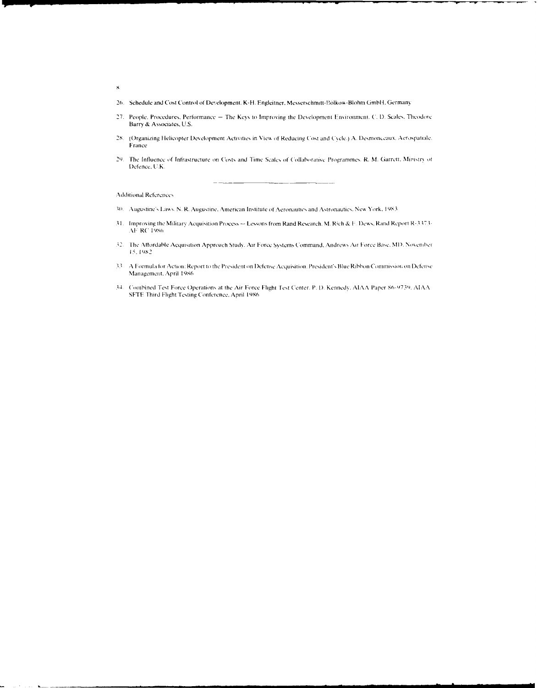- 26. Schedule and Cost Control of Development, K-H. Engleitner, Messerschmitt-Bölkow-Blohm GmbH, Germany
- 27. People, Procedures, Performance The Keys to Improving the Development Environment, C. D. Scales, Theodore Barry & Associates, U.S.
- 28. (Organizing Helicopter Development Activities in View of Reducing Cost and Cycle.) A. Desmonceaux, Acrospatiale. France
- 29. The Influence of Infrastructure on Costs and Time Scales of Collaborative Programmes, R. M. Garrett, Ministry of Defence, U.K.

Additional References

- 30. Augustine's Laws, N. R. Augustine, American Institute of Aeronautics and Astronautics, New York, 1983
- 31. Improving the Military Acquisition Process -- Lessons from Rand Research, M. Rich & E. Dews, Rand Report R-3373-AF RC 1986
- 32. The Affordable Acquisition Approach Study, Air Force Systems Command, Andrews Air Force Base, MD. November 15,1982
- $33\,$ A Formula for Action: Report to the President on Defense Acquisition. President's Blue Ribbon Commission on Defense Management, April 1986
- 34. Combined Test Force Operations at the Air Force Flight Test Center. P. D. Kennedy, AIAA Paper 86-9739, AIAA SFTE Third Flight Testing Conference, April 1986

 $\bar{\mathbf{x}}$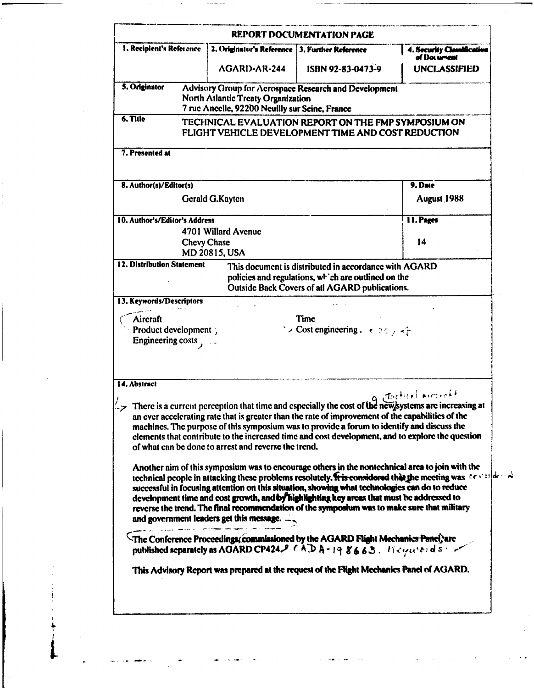| 1. Recipient's Reference                               |                    | 2. Originator's Reference   3. Further Reference                                     |                                                                                                                                                                                                                                                                                                                                                                                                                                                                                                           | <b>4. Security Classification</b><br>of Document |
|--------------------------------------------------------|--------------------|--------------------------------------------------------------------------------------|-----------------------------------------------------------------------------------------------------------------------------------------------------------------------------------------------------------------------------------------------------------------------------------------------------------------------------------------------------------------------------------------------------------------------------------------------------------------------------------------------------------|--------------------------------------------------|
|                                                        |                    | AGARD-AR-244                                                                         | ISBN 92-83-0473-9                                                                                                                                                                                                                                                                                                                                                                                                                                                                                         | <b>UNCLASSIFIED</b>                              |
| 5. Originator                                          |                    | North Atlantic Treaty Organization<br>7 rue Ancelle, 92200 Neuilly sur Seine, France | Advisory Group for Aerospace Research and Development                                                                                                                                                                                                                                                                                                                                                                                                                                                     |                                                  |
| 6. Title                                               |                    |                                                                                      | TECHNICAL EVALUATION REPORT ON THE FMP SYMPOSIUM ON<br>FLIGHT VEHICLE DEVELOPMENT TIME AND COST REDUCTION                                                                                                                                                                                                                                                                                                                                                                                                 |                                                  |
| 7. Presented at                                        |                    |                                                                                      |                                                                                                                                                                                                                                                                                                                                                                                                                                                                                                           |                                                  |
| 8. Author(s)/Editor(s)                                 |                    |                                                                                      |                                                                                                                                                                                                                                                                                                                                                                                                                                                                                                           | 9. Date                                          |
|                                                        |                    | Gerald G.Kayten                                                                      |                                                                                                                                                                                                                                                                                                                                                                                                                                                                                                           | <b>August 1988</b>                               |
| 10. Author's/Editor's Address                          |                    | 4701 Willard Avenue                                                                  |                                                                                                                                                                                                                                                                                                                                                                                                                                                                                                           | 11. Pages                                        |
|                                                        | <b>Chevy Chase</b> | MD 20815, USA                                                                        |                                                                                                                                                                                                                                                                                                                                                                                                                                                                                                           | 14                                               |
| <b>12. Distribution Statement</b>                      |                    |                                                                                      | This document is distributed in accordance with AGARD<br>policies and regulations, which are outlined on the<br>Outside Back Covers of all AGARD publications.                                                                                                                                                                                                                                                                                                                                            |                                                  |
| 13. Keywords/Descriptors                               |                    |                                                                                      |                                                                                                                                                                                                                                                                                                                                                                                                                                                                                                           |                                                  |
| Aircraft<br>Product development;<br>Engineering costs, |                    |                                                                                      | <b>Time</b><br>$\Rightarrow$ Cost engineering. $\epsilon \circ \epsilon$ , $\prec$                                                                                                                                                                                                                                                                                                                                                                                                                        |                                                  |
| 14. Abstract                                           |                    |                                                                                      |                                                                                                                                                                                                                                                                                                                                                                                                                                                                                                           |                                                  |
|                                                        |                    | of what can be done to arrest and reverse the trend.                                 | To chical particle is a current perception that time and especially the cost of the new systems are increasing at<br>an ever accelerating rate that is greater than the rate of improvement of the capabilities of the<br>machines. The purpose of this symposium was to provide a forum to identify and discuss the<br>elements that contribute to the increased time and cost development, and to explore the question                                                                                  |                                                  |
|                                                        |                    | and government leaders get this message. $\overline{\phantom{a}}$                    | Another aim of this symposium was to encourage others in the nontechnical area to join with the<br>technical people in attacking these problems resolutely. This considered that the meeting was considered<br>successful in focusing attention on this situation, showing what technologies can do to reduce<br>development time and cost growth, and by highlighting key areas that must be addressed to<br>reverse the trend. The final recommendation of the symposium was to make sure that military |                                                  |
|                                                        |                    |                                                                                      | The Conference Proceedings commissioned by the AGARD Flight Mechanics Panel, are<br>published separately as AGARD CP424 P (ADA-198663. Heywords)                                                                                                                                                                                                                                                                                                                                                          |                                                  |

 $\mathcal{A}^{\mathcal{A}}_{\mathcal{A}}$ 

 $\frac{1}{2} \sum_{i=1}^{n} \frac{1}{2} \sum_{j=1}^{n} \frac{1}{2} \sum_{j=1}^{n} \frac{1}{2} \sum_{j=1}^{n} \frac{1}{2} \sum_{j=1}^{n} \frac{1}{2} \sum_{j=1}^{n} \frac{1}{2} \sum_{j=1}^{n} \frac{1}{2} \sum_{j=1}^{n} \frac{1}{2} \sum_{j=1}^{n} \frac{1}{2} \sum_{j=1}^{n} \frac{1}{2} \sum_{j=1}^{n} \frac{1}{2} \sum_{j=1}^{n} \frac{1}{2} \sum_{j=1}^{n$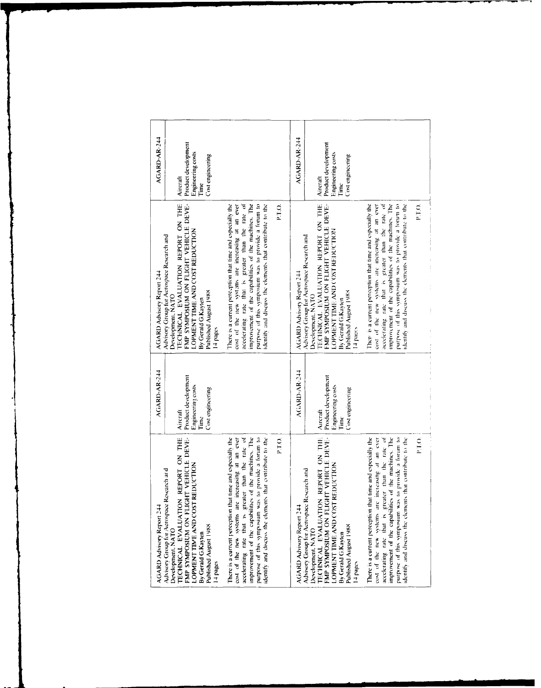| AGARD-AR-244                     | Product development<br>Engineering costs<br>Cost engineering<br>Aircraft<br>Time                                                                                                                                                            |                                                                                                                                                                                                                                                                                                                                                        |       | AGARD-AR-244              | Product development<br>Engineering costs<br>Cost engineering<br>Aircraft<br>Time                                                                                                                                                            |                                                                                                                                                                                                                                                                                                                                                       |      |
|----------------------------------|---------------------------------------------------------------------------------------------------------------------------------------------------------------------------------------------------------------------------------------------|--------------------------------------------------------------------------------------------------------------------------------------------------------------------------------------------------------------------------------------------------------------------------------------------------------------------------------------------------------|-------|---------------------------|---------------------------------------------------------------------------------------------------------------------------------------------------------------------------------------------------------------------------------------------|-------------------------------------------------------------------------------------------------------------------------------------------------------------------------------------------------------------------------------------------------------------------------------------------------------------------------------------------------------|------|
| <b>AGARD Advisory Report 244</b> | TECHNICAL EVALUATION REPORT ON THE<br>FMP SYMPOSIUM ON FLIGHT VEHICLE DEVE-<br>LOPMENT TIME AND COST REDUCTION<br>Advisory Group for Aerospace Research and<br>Published August 1988<br>Development, NATO<br>By Gerald G.Kayten<br>14 pages | There is a current perception that time and especially the<br>improvement of the capabilities of the machines. The<br>purpose of this symposium was to provide a forum to<br>cost of the new systems are increasing at an ever<br>accelerating rate that is greater than the rate of<br>identify and discuss the elements that contribute to the       | PT.O. | AGARD Advisory Report 244 | TECHNICAL EVALUATION REPORT ON THE<br>FMP SYMPOSIUM ON FLIGHT VEHICLE DEVE-<br>LOPMENT TIME AND COST REDUCTION<br>Advisory Group for Acrospace Research and<br>Published August 1988<br>Development, NATO<br>By Gerald G.Kayten<br>14 pages | There is a current perception that time and especially the<br>accelerating rate that is greater than the rate of<br>improvement of the capabilities of the machines. The<br>purpose of this symposium was to provide a forum to<br>cost of the new systems are increasing at an ever<br>dentify and discuss the elements that contribute to the       | PTO. |
| AGARD-AR-244                     | Product development<br>Engineering costs<br>Cost engineering<br>Aircraft<br><b>Time</b>                                                                                                                                                     |                                                                                                                                                                                                                                                                                                                                                        |       | <b>AGARD-AR-244</b>       | Product development<br>Engineering costs<br>Cost engineering<br>Aircraft<br>Time                                                                                                                                                            |                                                                                                                                                                                                                                                                                                                                                       |      |
| <b>AGARD Advisory Report 244</b> | TECHNICAL EVALUATION REPORT ON THE<br>FMP SYMPOSIUM ON FLIGHT VEHICLE DEVE-<br>LOPMENT TIME AND COST REDUCTION<br>Advisory Group for Acrospace Research and<br>Published August 1988<br>Development, NATO<br>By Gerald G.Kayten<br>14 pages | improvement of the capabilities of the machines. The<br>greater than the rate of<br>There is a current perception that time and especially the<br>purpose of this symposium was to provide a forum to<br>are increasing at an ever<br>identify and discuss the elements that contribute to the<br>cost of the new systems<br>accelerating rate that is | PTO.  | AGARD Advisory Report 244 | TECHNICAL EVALUATION REPORT ON THE<br>FMP SYMPOSIUM ON FLIGHT VEHICLE DEVE-<br>LOPMENT TIME AND COST REDUCTION<br>Advisory Group for Aerospace Research and<br>Published August 1988<br>Development, NATO<br>By Gerald G.Kavten<br>14 pages | purpose of this symposium was to provide a forum to<br>There is a current perception that time and especially the<br>greater than the rate of<br>improvement of the capabilities of the machines. The<br>are increasing at an ever<br>dentify and discuss the elements that contribute to the<br>cost of the new systems<br>accelerating rate that is | PTO. |